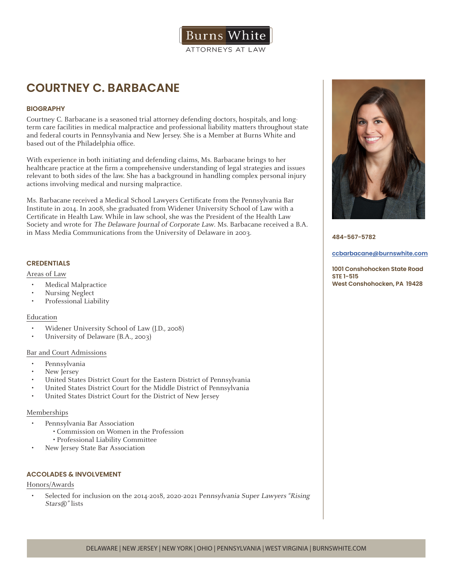

# **COURTNEY C. BARBACANE**

## **BIOGRAPHY**

Courtney C. Barbacane is a seasoned trial attorney defending doctors, hospitals, and longterm care facilities in medical malpractice and professional liability matters throughout state and federal courts in Pennsylvania and New Jersey. She is a Member at Burns White and based out of the Philadelphia office.

With experience in both initiating and defending claims, Ms. Barbacane brings to her healthcare practice at the firm a comprehensive understanding of legal strategies and issues relevant to both sides of the law. She has a background in handling complex personal injury actions involving medical and nursing malpractice.

Ms. Barbacane received a Medical School Lawyers Certificate from the Pennsylvania Bar Institute in 2014. In 2008, she graduated from Widener University School of Law with a Certificate in Health Law. While in law school, she was the President of the Health Law Society and wrote for The Delaware Journal of Corporate Law. Ms. Barbacane received a B.A. in Mass Media Communications from the University of Delaware in 2003.

### **CREDENTIALS**

#### Areas of Law

- Medical Malpractice
- Nursing Neglect
- Professional Liability

#### Education

- Widener University School of Law (J.D., 2008)
- University of Delaware (B.A., 2003)

## Bar and Court Admissions

- Pennsylvania
- New Jersey
- United States District Court for the Eastern District of Pennsylvania
- United States District Court for the Middle District of Pennsylvania
- United States District Court for the District of New Jersey

#### Memberships

- Pennsylvania Bar Association
	- Commission on Women in the Profession • Professional Liability Committee
	- New Jersey State Bar Association

#### **ACCOLADES & INVOLVEMENT**

#### Honors/Awards

• Selected for inclusion on the 2014-2018, 2020-2021 Pennsylvania Super Lawyers "Rising" Stars®" lists



**484-567-5782**

**ccbarbacane@burnswhite.com**

**1001 Conshohocken State Road STE 1-515 West Conshohocken, PA 19428**